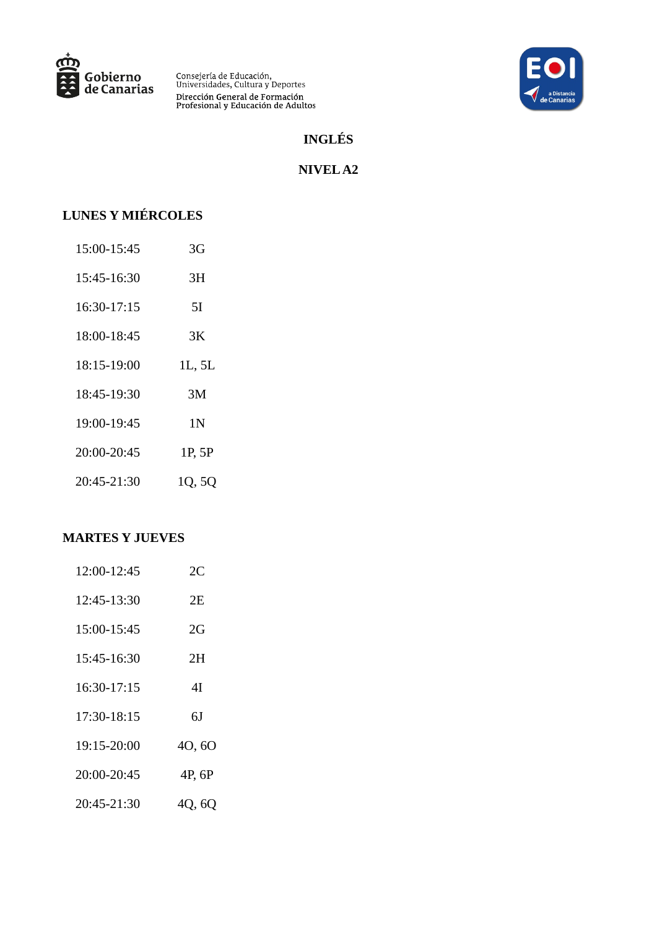



# **INGLÉS**

### **NIVEL A2**

# **LUNES Y MIÉRCOLES**

| 15:00-15:45 | 3G     |
|-------------|--------|
| 15:45-16:30 | 3H     |
| 16:30-17:15 | 5I     |
| 18:00-18:45 | 3K     |
| 18:15-19:00 | 1L, 5L |
| 18:45-19:30 | ЗM     |
| 19:00-19:45 | 1 N    |
| 20:00-20:45 | 1P, 5P |
| 20:45-21:30 | 1Q, 5Q |

| 12:00-12:45 | 2C     |
|-------------|--------|
| 12:45-13:30 | 2Ε     |
| 15:00-15:45 | 2G     |
| 15:45-16:30 | 2H     |
| 16:30-17:15 | 41     |
| 17:30-18:15 | 6J     |
| 19:15-20:00 | 40,60  |
| 20:00-20:45 | 4P, 6P |
| 20:45-21:30 | 4Q, 6Q |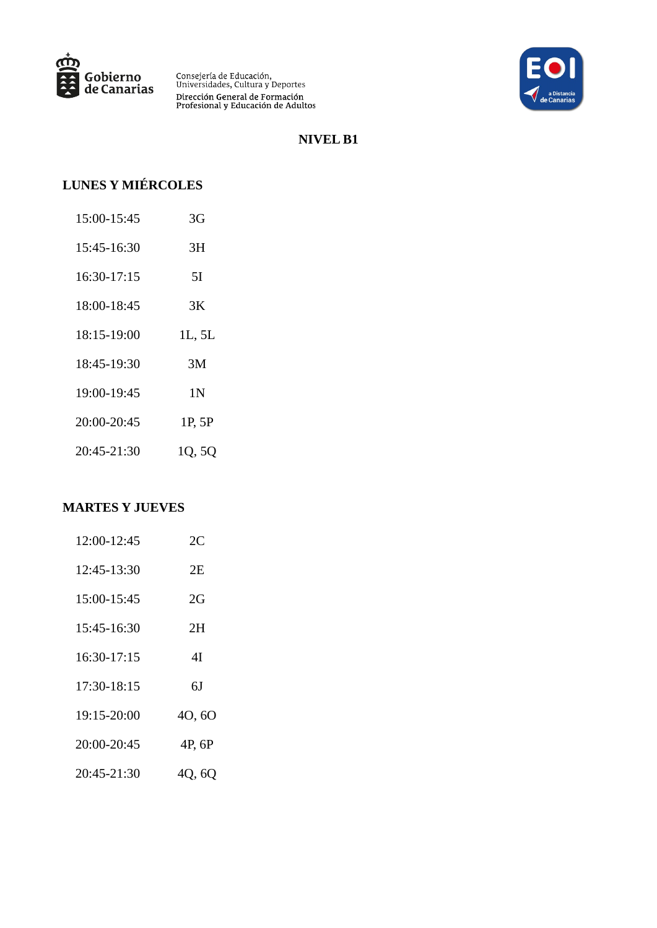



#### **NIVEL B1**

# **LUNES Y MIÉRCOLES**

| 15:00-15:45 | 3G             |
|-------------|----------------|
| 15:45-16:30 | 3H             |
| 16:30-17:15 | 5I             |
| 18:00-18:45 | 3K             |
| 18:15-19:00 | 1L, 5L         |
| 18:45-19:30 | 3M             |
| 19:00-19:45 | 1 <sub>N</sub> |
| 20:00-20:45 | 1P, 5P         |
| 20:45-21:30 | 1Q, 5Q         |

| 12:00-12:45 | 2C     |
|-------------|--------|
| 12:45-13:30 | 2Е     |
| 15:00-15:45 | 2G     |
| 15:45-16:30 | 2Η     |
| 16:30-17:15 | 41     |
| 17:30-18:15 | 6J     |
| 19:15-20:00 | 40,60  |
| 20:00-20:45 | 4P, 6P |
| 20:45-21:30 | 4Q, 6Q |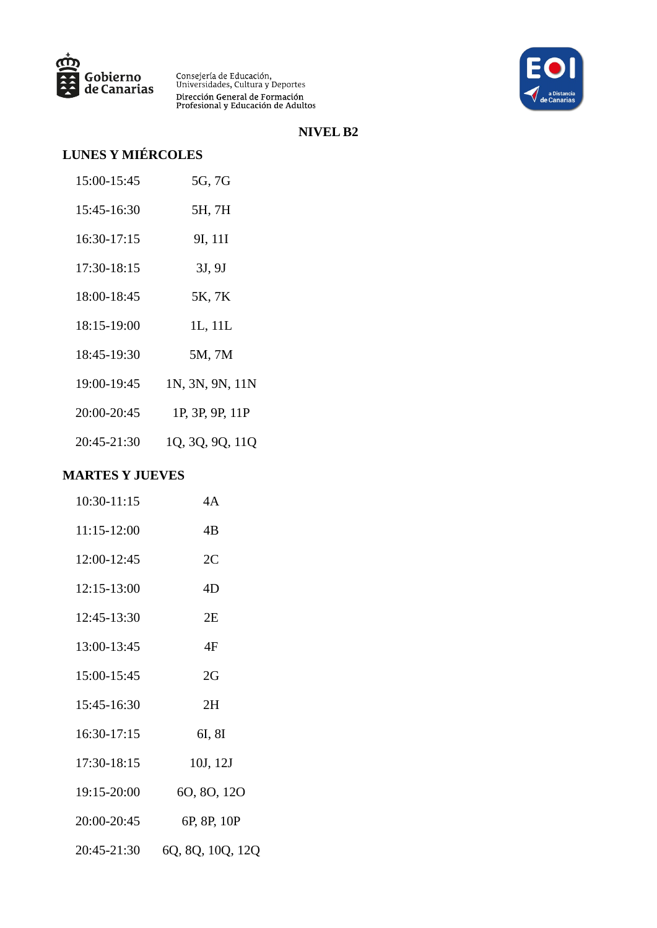



### **NIVEL B2**

# **LUNES Y MIÉRCOLES**

| 15:00-15:45 | 5G, 7G          |
|-------------|-----------------|
| 15:45-16:30 | 5H, 7H          |
| 16:30-17:15 | 9I, 11I         |
| 17:30-18:15 | 3J, 9J          |
| 18:00-18:45 | 5K, 7K          |
| 18:15-19:00 | 1L, 11L         |
| 18:45-19:30 | 5M, 7M          |
| 19:00-19:45 | 1N, 3N, 9N, 11N |
| 20:00-20:45 | 1P, 3P, 9P, 11P |
| 20:45-21:30 | 1Q, 3Q, 9Q, 11Q |
|             |                 |

| 10:30-11:15 | 4A               |
|-------------|------------------|
| 11:15-12:00 | 4B               |
| 12:00-12:45 | 2C               |
| 12:15-13:00 | 4D               |
| 12:45-13:30 | 2E               |
| 13:00-13:45 | 4F               |
| 15:00-15:45 | 2G               |
| 15:45-16:30 | 2H               |
| 16:30-17:15 | 6I, 8I           |
| 17:30-18:15 | 10J, 12J         |
| 19:15-20:00 | 60, 80, 120      |
| 20:00-20:45 | 6P, 8P, 10P      |
| 20:45-21:30 | 6Q, 8Q, 10Q, 12Q |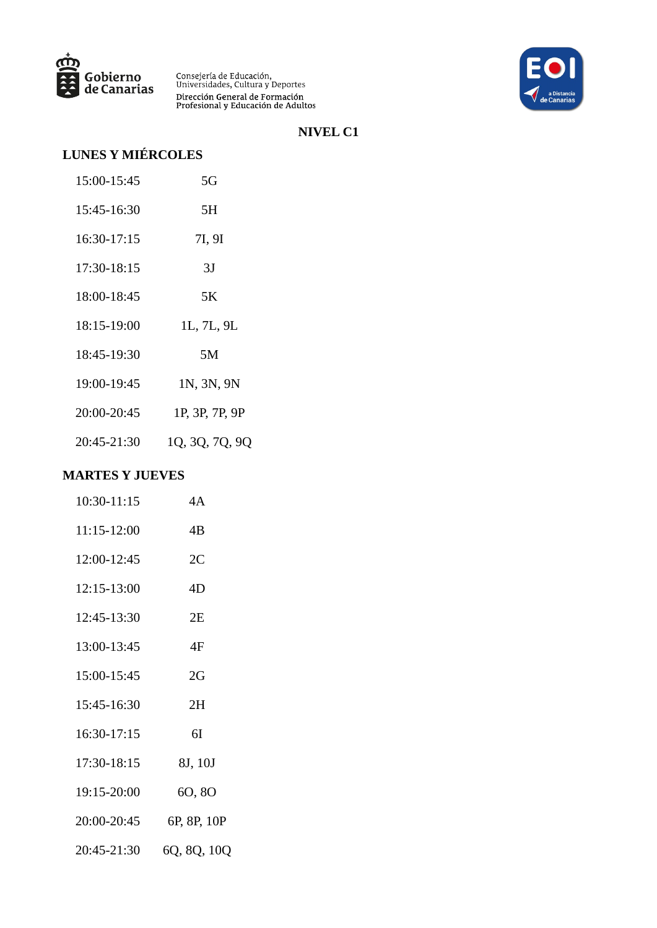



### **NIVEL C1**

# **LUNES Y MIÉRCOLES**

| 15:00-15:45 | 5G             |
|-------------|----------------|
| 15:45-16:30 | 5Н             |
| 16:30-17:15 | 7I, 9I         |
| 17:30-18:15 | 3J             |
| 18:00-18:45 | 5K             |
| 18:15-19:00 | 1L, 7L, 9L     |
| 18:45-19:30 | 5М             |
| 19:00-19:45 | 1N, 3N, 9N     |
| 20:00-20:45 | 1P, 3P, 7P, 9P |
| 20:45-21:30 | 1Q, 3Q, 7Q, 9Q |

| 10:30-11:15         | 4A                      |
|---------------------|-------------------------|
| 11:15-12:00         | 4B                      |
| 12:00-12:45         | 2C                      |
| 12:15-13:00         | 4D                      |
| 12:45-13:30         | 2E                      |
| 13:00-13:45         | 4F                      |
| 15:00-15:45         | 2G                      |
| 15:45-16:30         | 2H                      |
| 16:30-17:15         | 6I                      |
| 17:30-18:15 8J, 10J |                         |
| 19:15-20:00         | 60,80                   |
|                     | 20:00-20:45 6P, 8P, 10P |
| 20:45-21:30         | 6Q, 8Q, 10Q             |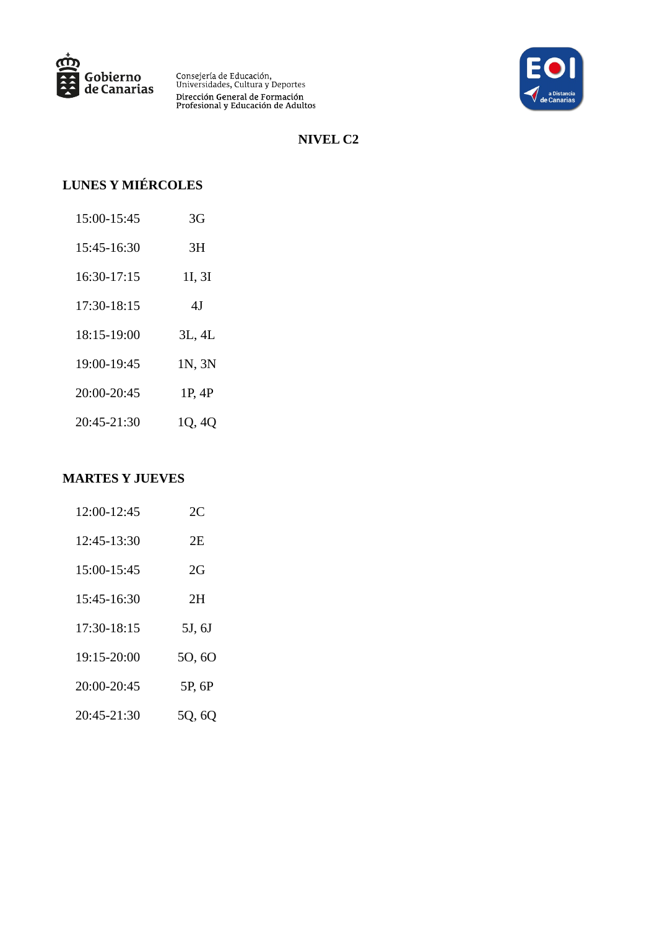



### **NIVEL C2**

# **LUNES Y MIÉRCOLES**

| 15:00-15:45 | 3G     |
|-------------|--------|
| 15:45-16:30 | ЗH     |
| 16:30-17:15 | 1I, 3I |
| 17:30-18:15 | 4J     |
| 18:15-19:00 | 3L, 4L |
| 19:00-19:45 | 1N, 3N |
| 20:00-20:45 | 1P, 4P |
| 20:45-21:30 | 1Q, 4Q |

| 12:00-12:45 | 2C     |
|-------------|--------|
| 12:45-13:30 | 2F.    |
| 15:00-15:45 | 2G     |
| 15:45-16:30 | 2H     |
| 17:30-18:15 | 5J, 6J |
| 19:15-20:00 | 50, 60 |
| 20:00-20:45 | 5P, 6P |
| 20:45-21:30 | 5Q, 6Q |